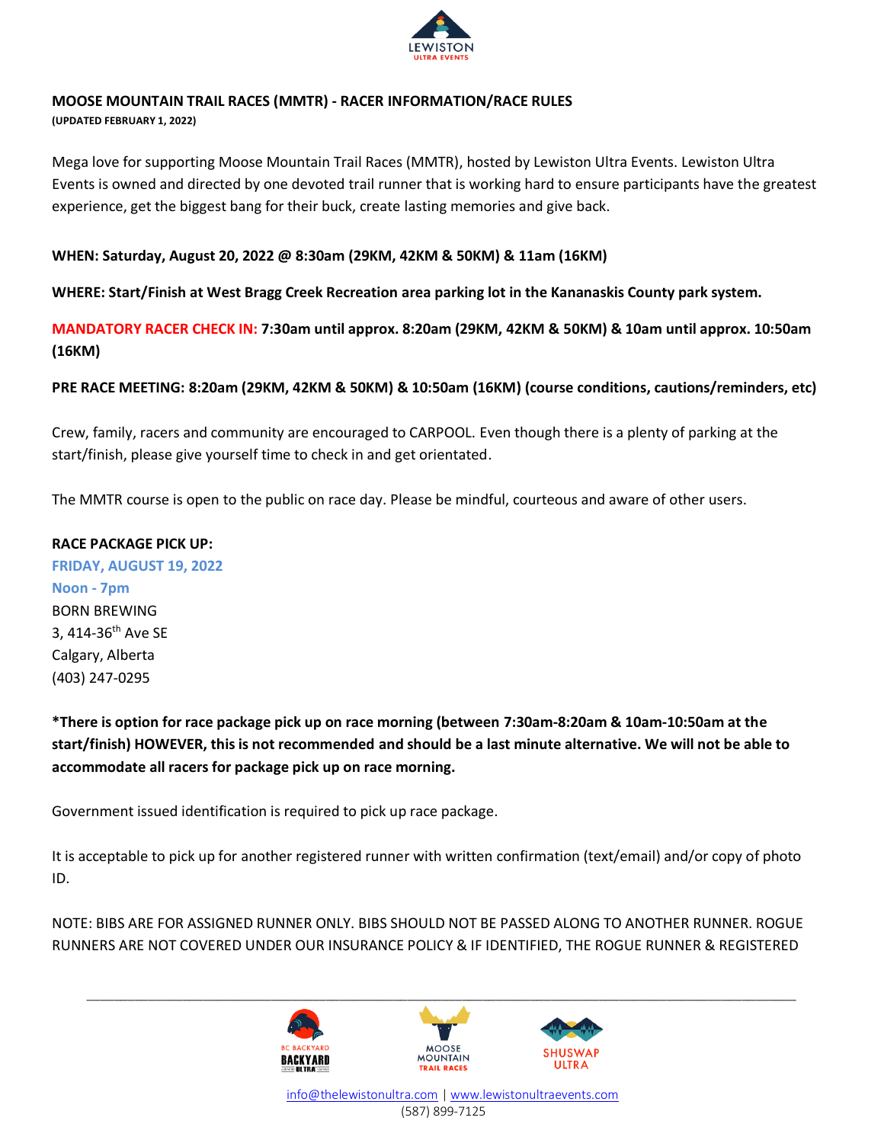

## **MOOSE MOUNTAIN TRAIL RACES (MMTR) - RACER INFORMATION/RACE RULES**

**(UPDATED FEBRUARY 1, 2022)**

Mega love for supporting Moose Mountain Trail Races (MMTR), hosted by Lewiston Ultra Events. Lewiston Ultra Events is owned and directed by one devoted trail runner that is working hard to ensure participants have the greatest experience, get the biggest bang for their buck, create lasting memories and give back.

## **WHEN: Saturday, August 20, 2022 @ 8:30am (29KM, 42KM & 50KM) & 11am (16KM)**

**WHERE: Start/Finish at West Bragg Creek Recreation area parking lot in the Kananaskis County park system.** 

**MANDATORY RACER CHECK IN: 7:30am until approx. 8:20am (29KM, 42KM & 50KM) & 10am until approx. 10:50am (16KM)**

**PRE RACE MEETING: 8:20am (29KM, 42KM & 50KM) & 10:50am (16KM) (course conditions, cautions/reminders, etc)**

Crew, family, racers and community are encouraged to CARPOOL. Even though there is a plenty of parking at the start/finish, please give yourself time to check in and get orientated.

The MMTR course is open to the public on race day. Please be mindful, courteous and aware of other users.

## **RACE PACKAGE PICK UP:**

**FRIDAY, AUGUST 19, 2022 Noon - 7pm** BORN BREWING 3, 414-36<sup>th</sup> Ave SE Calgary, Alberta (403) 247-0295

**\*There is option for race package pick up on race morning (between 7:30am-8:20am & 10am-10:50am at the start/finish) HOWEVER, this is not recommended and should be a last minute alternative. We will not be able to accommodate all racers for package pick up on race morning.** 

Government issued identification is required to pick up race package.

It is acceptable to pick up for another registered runner with written confirmation (text/email) and/or copy of photo ID.

NOTE: BIBS ARE FOR ASSIGNED RUNNER ONLY. BIBS SHOULD NOT BE PASSED ALONG TO ANOTHER RUNNER. ROGUE RUNNERS ARE NOT COVERED UNDER OUR INSURANCE POLICY & IF IDENTIFIED, THE ROGUE RUNNER & REGISTERED

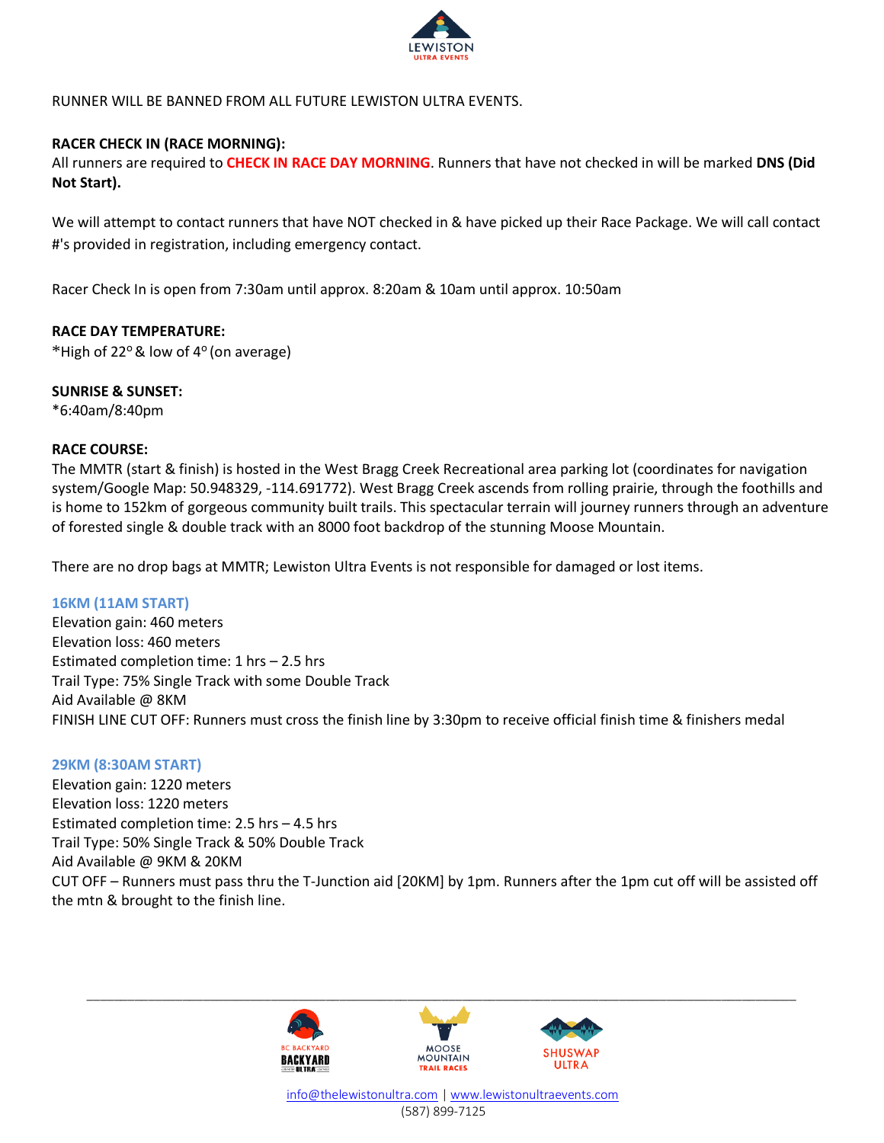

RUNNER WILL BE BANNED FROM ALL FUTURE LEWISTON ULTRA EVENTS.

## **RACER CHECK IN (RACE MORNING):**

All runners are required to **CHECK IN RACE DAY MORNING**. Runners that have not checked in will be marked **DNS (Did Not Start).**

We will attempt to contact runners that have NOT checked in & have picked up their Race Package. We will call contact #'s provided in registration, including emergency contact.

Racer Check In is open from 7:30am until approx. 8:20am & 10am until approx. 10:50am

### **RACE DAY TEMPERATURE:**

\*High of 22° & low of 4° (on average)

### **SUNRISE & SUNSET:**

\*6:40am/8:40pm

### **RACE COURSE:**

The MMTR (start & finish) is hosted in the West Bragg Creek Recreational area parking lot (coordinates for navigation system/Google Map: 50.948329, -114.691772). West Bragg Creek ascends from rolling prairie, through the foothills and is home to 152km of gorgeous community built trails. This spectacular terrain will journey runners through an adventure of forested single & double track with an 8000 foot backdrop of the stunning Moose Mountain.

There are no drop bags at MMTR; Lewiston Ultra Events is not responsible for damaged or lost items.

#### **16KM (11AM START)**

Elevation gain: 460 meters Elevation loss: 460 meters Estimated completion time: 1 hrs – 2.5 hrs Trail Type: 75% Single Track with some Double Track Aid Available @ 8KM FINISH LINE CUT OFF: Runners must cross the finish line by 3:30pm to receive official finish time & finishers medal

#### **29KM (8:30AM START)**

Elevation gain: 1220 meters Elevation loss: 1220 meters Estimated completion time: 2.5 hrs – 4.5 hrs Trail Type: 50% Single Track & 50% Double Track Aid Available @ 9KM & 20KM CUT OFF – Runners must pass thru the T-Junction aid [20KM] by 1pm. Runners after the 1pm cut off will be assisted off the mtn & brought to the finish line.



 [info@thelewistonultra.com](mailto:info@thelewistonultra.com) [| www.lewistonultraevents.com](http://www.lewistonultraevents.com/) (587) 899-7125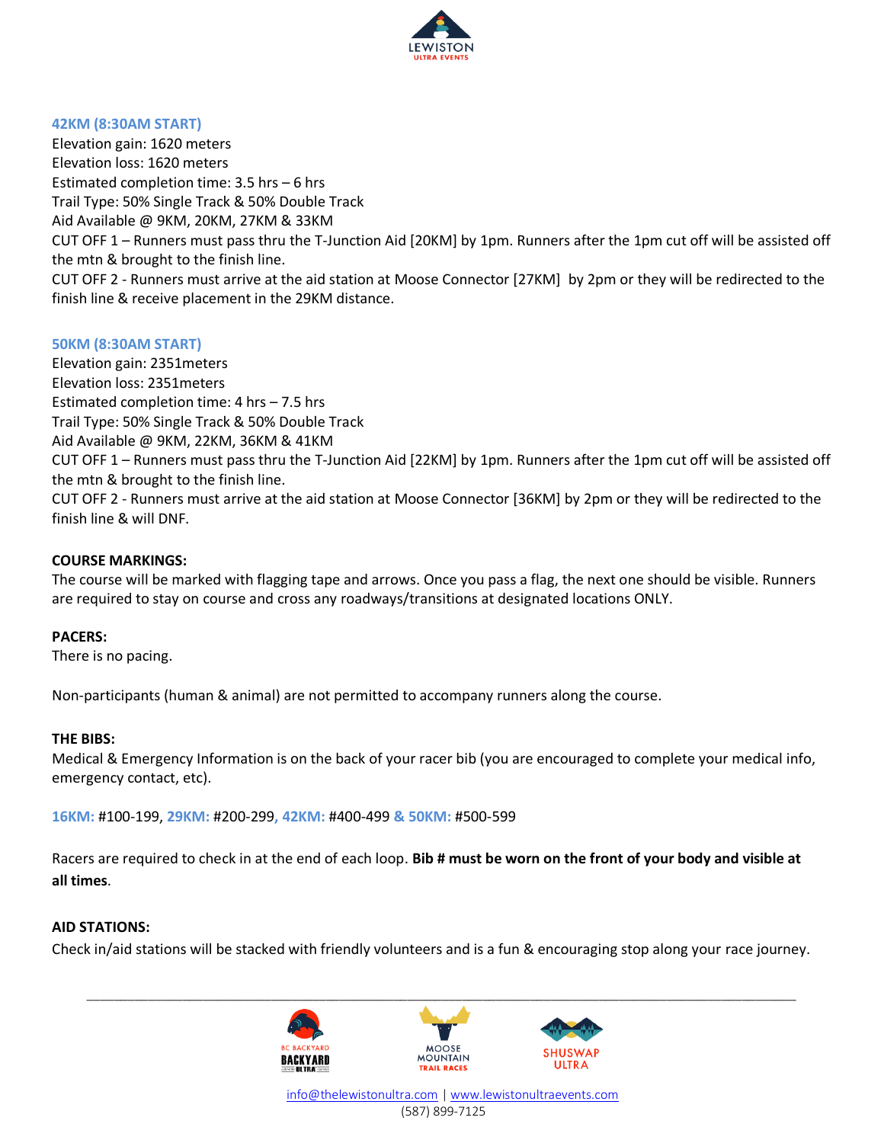

#### **42KM (8:30AM START)**

Elevation gain: 1620 meters Elevation loss: 1620 meters Estimated completion time: 3.5 hrs – 6 hrs Trail Type: 50% Single Track & 50% Double Track Aid Available @ 9KM, 20KM, 27KM & 33KM CUT OFF 1 – Runners must pass thru the T-Junction Aid [20KM] by 1pm. Runners after the 1pm cut off will be assisted off the mtn & brought to the finish line. CUT OFF 2 - Runners must arrive at the aid station at Moose Connector [27KM] by 2pm or they will be redirected to the finish line & receive placement in the 29KM distance.

#### **50KM (8:30AM START)**

Elevation gain: 2351meters Elevation loss: 2351meters Estimated completion time: 4 hrs – 7.5 hrs Trail Type: 50% Single Track & 50% Double Track Aid Available @ 9KM, 22KM, 36KM & 41KM CUT OFF 1 – Runners must pass thru the T-Junction Aid [22KM] by 1pm. Runners after the 1pm cut off will be assisted off the mtn & brought to the finish line. CUT OFF 2 - Runners must arrive at the aid station at Moose Connector [36KM] by 2pm or they will be redirected to the finish line & will DNF.

#### **COURSE MARKINGS:**

The course will be marked with flagging tape and arrows. Once you pass a flag, the next one should be visible. Runners are required to stay on course and cross any roadways/transitions at designated locations ONLY.

#### **PACERS:**

There is no pacing.

Non-participants (human & animal) are not permitted to accompany runners along the course.

#### **THE BIBS:**

Medical & Emergency Information is on the back of your racer bib (you are encouraged to complete your medical info, emergency contact, etc).

**16KM:** #100-199, **29KM:** #200-299**, 42KM:** #400-499 **& 50KM:** #500-599

Racers are required to check in at the end of each loop. **Bib # must be worn on the front of your body and visible at all times**.

#### **AID STATIONS:**

Check in/aid stations will be stacked with friendly volunteers and is a fun & encouraging stop along your race journey.

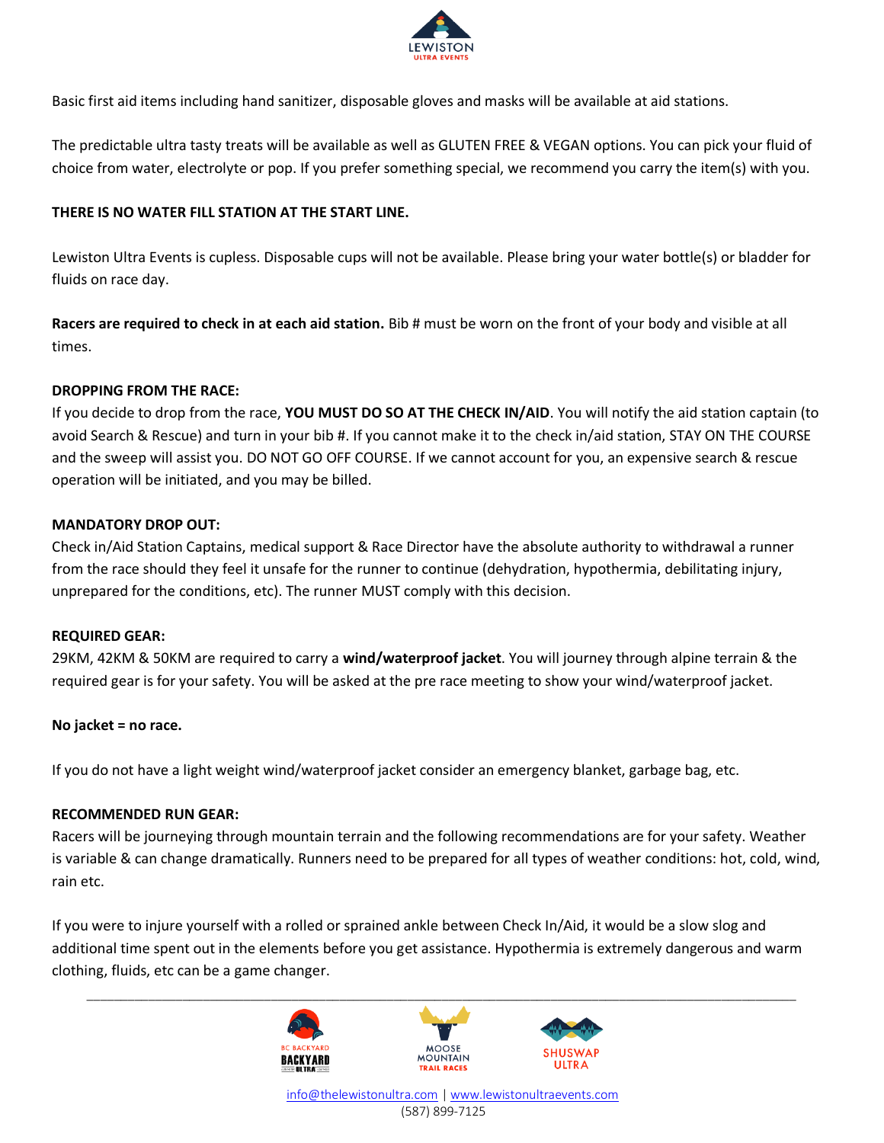

Basic first aid items including hand sanitizer, disposable gloves and masks will be available at aid stations.

The predictable ultra tasty treats will be available as well as GLUTEN FREE & VEGAN options. You can pick your fluid of choice from water, electrolyte or pop. If you prefer something special, we recommend you carry the item(s) with you.

## **THERE IS NO WATER FILL STATION AT THE START LINE.**

Lewiston Ultra Events is cupless. Disposable cups will not be available. Please bring your water bottle(s) or bladder for fluids on race day.

**Racers are required to check in at each aid station.** Bib # must be worn on the front of your body and visible at all times.

### **DROPPING FROM THE RACE:**

If you decide to drop from the race, **YOU MUST DO SO AT THE CHECK IN/AID**. You will notify the aid station captain (to avoid Search & Rescue) and turn in your bib #. If you cannot make it to the check in/aid station, STAY ON THE COURSE and the sweep will assist you. DO NOT GO OFF COURSE. If we cannot account for you, an expensive search & rescue operation will be initiated, and you may be billed.

## **MANDATORY DROP OUT:**

Check in/Aid Station Captains, medical support & Race Director have the absolute authority to withdrawal a runner from the race should they feel it unsafe for the runner to continue (dehydration, hypothermia, debilitating injury, unprepared for the conditions, etc). The runner MUST comply with this decision.

#### **REQUIRED GEAR:**

29KM, 42KM & 50KM are required to carry a **wind/waterproof jacket**. You will journey through alpine terrain & the required gear is for your safety. You will be asked at the pre race meeting to show your wind/waterproof jacket.

### **No jacket = no race.**

If you do not have a light weight wind/waterproof jacket consider an emergency blanket, garbage bag, etc.

### **RECOMMENDED RUN GEAR:**

Racers will be journeying through mountain terrain and the following recommendations are for your safety. Weather is variable & can change dramatically. Runners need to be prepared for all types of weather conditions: hot, cold, wind, rain etc.

If you were to injure yourself with a rolled or sprained ankle between Check In/Aid, it would be a slow slog and additional time spent out in the elements before you get assistance. Hypothermia is extremely dangerous and warm clothing, fluids, etc can be a game changer.

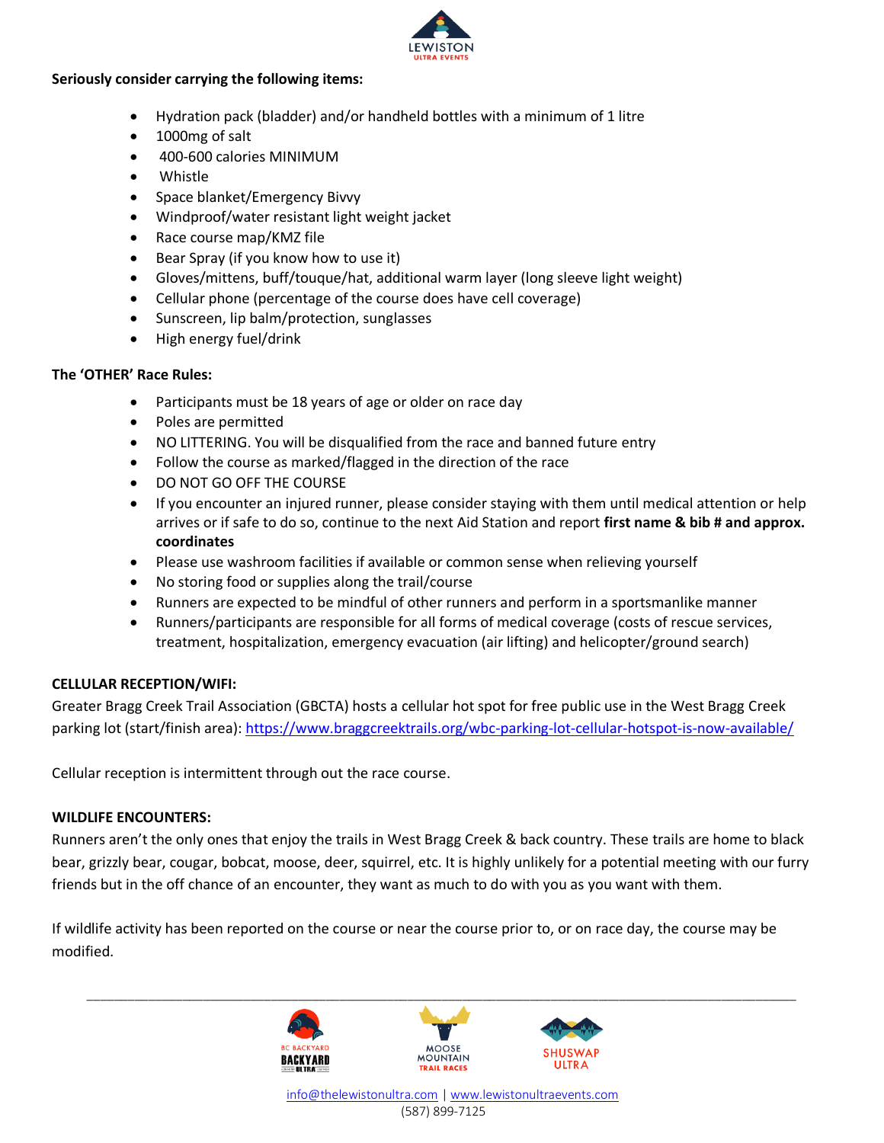

## **Seriously consider carrying the following items:**

- Hydration pack (bladder) and/or handheld bottles with a minimum of 1 litre
- 1000mg of salt
- 400-600 calories MINIMUM
- Whistle
- Space blanket/Emergency Bivvy
- Windproof/water resistant light weight jacket
- Race course map/KMZ file
- Bear Spray (if you know how to use it)
- Gloves/mittens, buff/touque/hat, additional warm layer (long sleeve light weight)
- Cellular phone (percentage of the course does have cell coverage)
- Sunscreen, lip balm/protection, sunglasses
- High energy fuel/drink

## **The 'OTHER' Race Rules:**

- Participants must be 18 years of age or older on race day
- Poles are permitted
- NO LITTERING. You will be disqualified from the race and banned future entry
- Follow the course as marked/flagged in the direction of the race
- DO NOT GO OFF THE COURSE
- If you encounter an injured runner, please consider staying with them until medical attention or help arrives or if safe to do so, continue to the next Aid Station and report **first name & bib # and approx. coordinates**
- Please use washroom facilities if available or common sense when relieving yourself
- No storing food or supplies along the trail/course
- Runners are expected to be mindful of other runners and perform in a sportsmanlike manner
- Runners/participants are responsible for all forms of medical coverage (costs of rescue services, treatment, hospitalization, emergency evacuation (air lifting) and helicopter/ground search)

## **CELLULAR RECEPTION/WIFI:**

Greater Bragg Creek Trail Association (GBCTA) hosts a cellular hot spot for free public use in the West Bragg Creek parking lot (start/finish area):<https://www.braggcreektrails.org/wbc-parking-lot-cellular-hotspot-is-now-available/>

Cellular reception is intermittent through out the race course.

## **WILDLIFE ENCOUNTERS:**

Runners aren't the only ones that enjoy the trails in West Bragg Creek & back country. These trails are home to black bear, grizzly bear, cougar, bobcat, moose, deer, squirrel, etc. It is highly unlikely for a potential meeting with our furry friends but in the off chance of an encounter, they want as much to do with you as you want with them.

If wildlife activity has been reported on the course or near the course prior to, or on race day, the course may be modified.